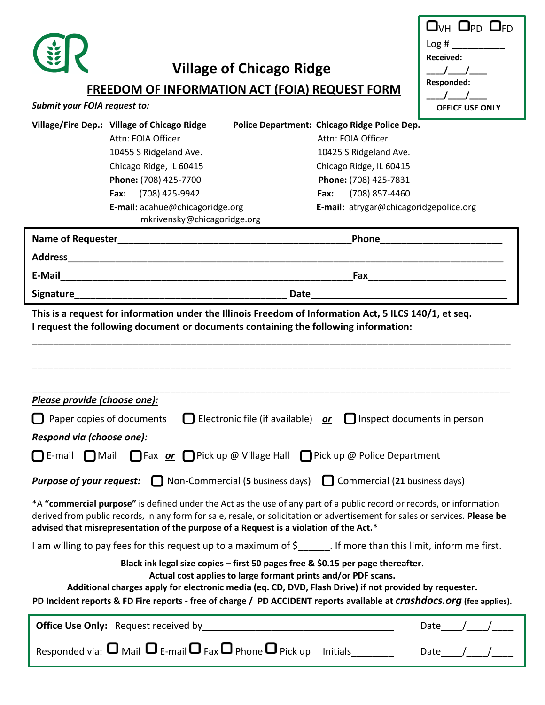

*Submit your FOIA request to:*

# **Village of Chicago Ridge**

### **FREEDOM OF INFORMATION ACT (FOIA) REQUEST FORM**

| $\Box$ <sub>VH</sub> $\Box$ pd $\Box$ fd |  |
|------------------------------------------|--|
| Log#                                     |  |
| Received:                                |  |
|                                          |  |
| Responded:                               |  |
|                                          |  |
| <b>OFFICE USE ONLY</b>                   |  |

|                          | Village/Fire Dep.: Village of Chicago Ridge                    | Police Department: Chicago Ridge Police Dep. |
|--------------------------|----------------------------------------------------------------|----------------------------------------------|
|                          | Attn: FOIA Officer                                             | Attn: FOIA Officer                           |
|                          | 10455 S Ridgeland Ave.                                         | 10425 S Ridgeland Ave.                       |
|                          | Chicago Ridge, IL 60415                                        | Chicago Ridge, IL 60415                      |
|                          | Phone: (708) 425-7700                                          | Phone: (708) 425-7831                        |
|                          | (708) 425-9942<br>Fax:                                         | (708) 857-4460<br>Fax:                       |
|                          | E-mail: acahue@chicagoridge.org<br>mkrivensky@chicagoridge.org | E-mail: atrygar@chicagoridgepolice.org       |
| <b>Name of Requester</b> |                                                                | Phone                                        |
| <b>Address</b>           |                                                                |                                              |
| E-Mail                   |                                                                | Fax                                          |
| <b>Signature</b>         |                                                                | Date                                         |

**This is a request for information under the Illinois Freedom of Information Act, 5 ILCS 140/1, et seq. I request the following document or documents containing the following information:** 

\_\_\_\_\_\_\_\_\_\_\_\_\_\_\_\_\_\_\_\_\_\_\_\_\_\_\_\_\_\_\_\_\_\_\_\_\_\_\_\_\_\_\_\_\_\_\_\_\_\_\_\_\_\_\_\_\_\_\_\_\_\_\_\_\_\_\_\_\_\_\_\_\_\_\_\_\_\_\_\_\_\_\_\_\_\_\_\_\_\_

| Please provide (choose one):                                                                                                                                                                                                                                                                                                                                                                |  |  |  |
|---------------------------------------------------------------------------------------------------------------------------------------------------------------------------------------------------------------------------------------------------------------------------------------------------------------------------------------------------------------------------------------------|--|--|--|
|                                                                                                                                                                                                                                                                                                                                                                                             |  |  |  |
| $\Box$ Electronic file (if available) or $\Box$ Inspect documents in person<br>Paper copies of documents                                                                                                                                                                                                                                                                                    |  |  |  |
| Respond via (choose one):                                                                                                                                                                                                                                                                                                                                                                   |  |  |  |
| <b>□</b> E-mail ■ Mail ■ Fax <i>or</i> ■ Pick up @ Village Hall ■ Pick up @ Police Department                                                                                                                                                                                                                                                                                               |  |  |  |
| <b>Purpose of your request:</b> $\Box$ Non-Commercial (5 business days) $\Box$ Commercial (21 business days)                                                                                                                                                                                                                                                                                |  |  |  |
| *A "commercial purpose" is defined under the Act as the use of any part of a public record or records, or information<br>derived from public records, in any form for sale, resale, or solicitation or advertisement for sales or services. Please be<br>advised that misrepresentation of the purpose of a Request is a violation of the Act.*                                             |  |  |  |
| I am willing to pay fees for this request up to a maximum of $\zeta$ [1]. If more than this limit, inform me first.                                                                                                                                                                                                                                                                         |  |  |  |
| Black ink legal size copies – first 50 pages free & \$0.15 per page thereafter.<br>Actual cost applies to large formant prints and/or PDF scans.<br>Additional charges apply for electronic media (eq. CD, DVD, Flash Drive) if not provided by requester.<br>PD Incident reports & FD Fire reports - free of charge / PD ACCIDENT reports available at <i>Crashdocs.org</i> (fee applies). |  |  |  |
| <b>Office Use Only:</b> Request received by<br>Date                                                                                                                                                                                                                                                                                                                                         |  |  |  |
| Responded via: $\Box$ Mail $\Box$ E-mail $\Box$ Fax $\Box$ Phone $\Box$ Pick up<br><b>Initials</b><br>Date                                                                                                                                                                                                                                                                                  |  |  |  |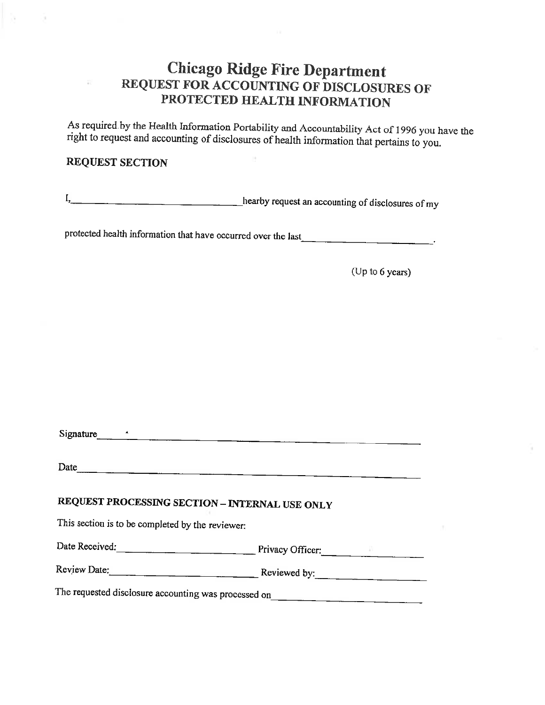### **Chicago Ridge Fire Department** REQUEST FOR ACCOUNTING OF DISCLOSURES OF PROTECTED HEALTH INFORMATION

As required by the Health Information Portability and Accountability Act of 1996 you have the right to request and accounting of disclosures of health information that pertains to you.

#### **REQUEST SECTION**

hearby request an accounting of disclosures of my  $I_{2}$ 

protected health information that have occurred over the last

(Up to 6 years)

Signature  $\sim$ 

### REQUEST PROCESSING SECTION - INTERNAL USE ONLY

This section is to be completed by the reviewer:

Date Received: Privacy Officer:

Review Date: Reviewed by:

The requested disclosure accounting was processed on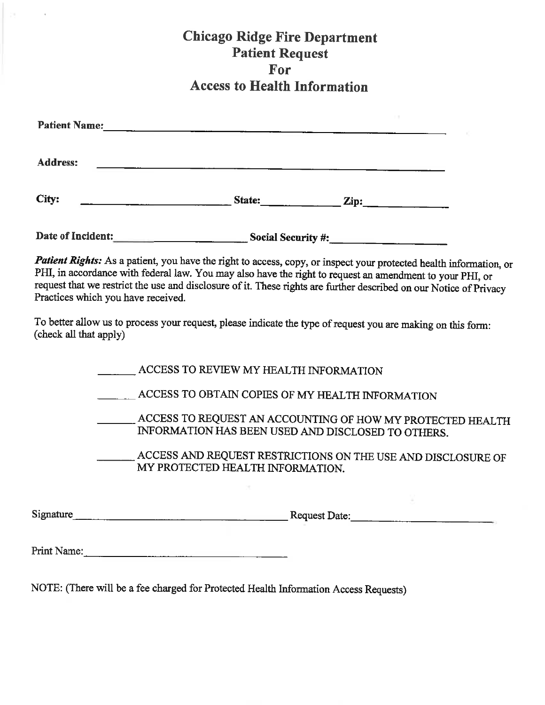### **Chicago Ridge Fire Department Patient Request For Access to Health Information**

| <b>Patient Name:</b> |        |                 |
|----------------------|--------|-----------------|
| <b>Address:</b>      |        |                 |
| City:                | State: | $\mathbf{Zip:}$ |

Date of Incident:<br>
<u>Date of Incident:</u>

Patient Rights: As a patient, you have the right to access, copy, or inspect your protected health information, or PHI, in accordance with federal law. You may also have the right to request an amendment to your PHI, or request that we restrict the use and disclosure of it. These rights are further described on our Notice of Privacy Practices which you have received.

To better allow us to process your request, please indicate the type of request you are making on this form: (check all that apply)

| Signature | <b>Request Date:</b>                                                                                             |
|-----------|------------------------------------------------------------------------------------------------------------------|
|           |                                                                                                                  |
|           | ACCESS AND REQUEST RESTRICTIONS ON THE USE AND DISCLOSURE OF<br>MY PROTECTED HEALTH INFORMATION.                 |
|           | ACCESS TO REQUEST AN ACCOUNTING OF HOW MY PROTECTED HEALTH<br>INFORMATION HAS BEEN USED AND DISCLOSED TO OTHERS. |
|           | ACCESS TO OBTAIN COPIES OF MY HEALTH INFORMATION                                                                 |
|           | ACCESS TO REVIEW MY HEALTH INFORMATION                                                                           |

Print Name:

NOTE: (There will be a fee charged for Protected Health Information Access Requests)